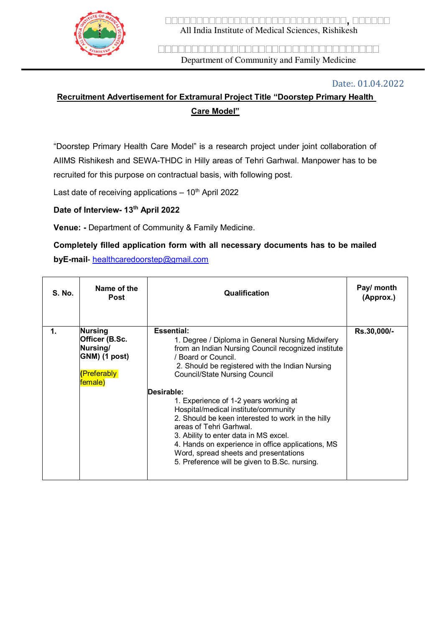

**,**  All India Institute of Medical Sciences, Rishikesh

<u>FIRITIO PORTULINI IN TELEVISIO PORTULINI DELENTIA PORTULINI IN TELEVISIO PORTULINI IN TELEVISIO PORTULINI IN </u> Department of Community and Family Medicine

#### Date:. 01.04.2022

# **Recruitment Advertisement for Extramural Project Title "Doorstep Primary Health Care Model"**

"Doorstep Primary Health Care Model" is a research project under joint collaboration of AIIMS Rishikesh and SEWA-THDC in Hilly areas of Tehri Garhwal. Manpower has to be recruited for this purpose on contractual basis, with following post.

Last date of receiving applications  $-10<sup>th</sup>$  April 2022

## **Date of Interview- 13th April 2022**

**Venue: -** Department of Community & Family Medicine.

# **Completely filled application form with all necessary documents has to be mailed byE-mail**- [healthcaredoorstep@gmail.com](mailto:healthcaredoorstep@gmail.com)

| <b>S. No.</b> | Name of the<br><b>Post</b>                                                              | Qualification                                                                                                                                                                                                                                                                                                                                                                                                                                                                                                                                                                                                         | Pay/ month<br>(Approx.) |
|---------------|-----------------------------------------------------------------------------------------|-----------------------------------------------------------------------------------------------------------------------------------------------------------------------------------------------------------------------------------------------------------------------------------------------------------------------------------------------------------------------------------------------------------------------------------------------------------------------------------------------------------------------------------------------------------------------------------------------------------------------|-------------------------|
| 1.            | <b>Nursing</b><br>Officer (B.Sc.<br>Nursing/<br>GNM) (1 post)<br>(Preferably<br>female) | <b>Essential:</b><br>1. Degree / Diploma in General Nursing Midwifery<br>from an Indian Nursing Council recognized institute<br>/ Board or Council.<br>2. Should be registered with the Indian Nursing<br><b>Council/State Nursing Council</b><br>Desirable:<br>1. Experience of 1-2 years working at<br>Hospital/medical institute/community<br>2. Should be keen interested to work in the hilly<br>areas of Tehri Garhwal.<br>3. Ability to enter data in MS excel.<br>4. Hands on experience in office applications, MS<br>Word, spread sheets and presentations<br>5. Preference will be given to B.Sc. nursing. | Rs.30,000/-             |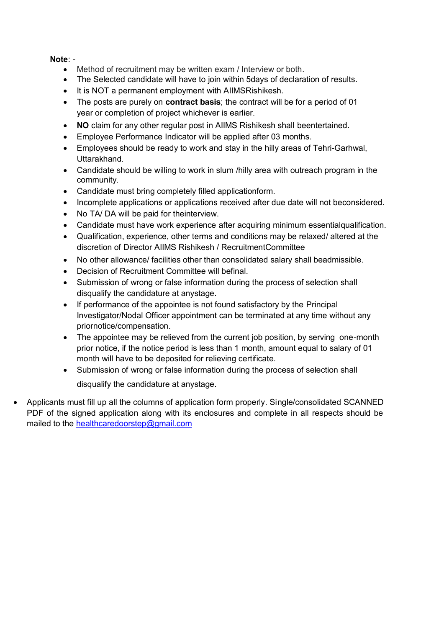### **Note**: -

- Method of recruitment may be written exam / Interview or both.
- The Selected candidate will have to join within 5days of declaration of results.
- It is NOT a permanent employment with AIIMSRishikesh.
- The posts are purely on **contract basis**; the contract will be for a period of 01 year or completion of project whichever is earlier.
- **NO** claim for any other regular post in AIIMS Rishikesh shall beentertained.
- Employee Performance Indicator will be applied after 03 months.
- Employees should be ready to work and stay in the hilly areas of Tehri-Garhwal, Uttarakhand.
- Candidate should be willing to work in slum /hilly area with outreach program in the community.
- Candidate must bring completely filled applicationform.
- Incomplete applications or applications received after due date will not beconsidered.
- No TA/ DA will be paid for theinterview.
- Candidate must have work experience after acquiring minimum essentialqualification.
- Qualification, experience, other terms and conditions may be relaxed/ altered at the discretion of Director AIIMS Rishikesh / RecruitmentCommittee
- No other allowance/ facilities other than consolidated salary shall beadmissible.
- Decision of Recruitment Committee will befinal.
- Submission of wrong or false information during the process of selection shall disqualify the candidature at anystage.
- If performance of the appointee is not found satisfactory by the Principal Investigator/Nodal Officer appointment can be terminated at any time without any priornotice/compensation.
- The appointee may be relieved from the current job position, by serving one-month prior notice, if the notice period is less than 1 month, amount equal to salary of 01 month will have to be deposited for relieving certificate.
- Submission of wrong or false information during the process of selection shall disqualify the candidature at anystage.
- Applicants must fill up all the columns of application form properly. Single/consolidated SCANNED PDF of the signed application along with its enclosures and complete in all respects should be mailed to the [healthcaredoorstep@gmail.com](mailto:healthcaredoorstep@gmail.com)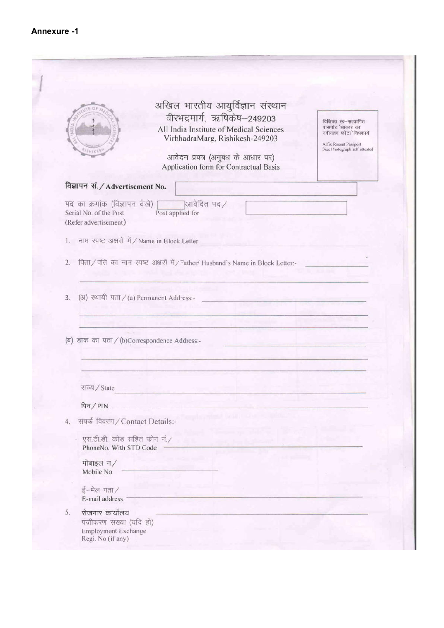| अखिल भारतीय आयुर्विज्ञान संस्थान<br>वीरभद्रमार्ग, ऋषिकेष-249203<br>विधिवत स्व-सत्यापित<br>पासपोट 'आकार का<br>All India Institute of Medical Sciences<br>नवीनतम फोटा विषकार्ये<br>VirbhadraMarg, Rishikesh-249203<br>Affix Recent Passport<br>आवेदन प्रपत्र (अनुबंध के आधार पर)<br>Application form for Contractual Basis<br>विज्ञापन सं. / Advertisement No.<br>पद का क्रमांक (विज्ञापन देखें)<br>$\overline{\phantom{a}}$ आवेदित पद/<br>Post applied for<br>Serial No. of the Post<br>(Refer advertisement)<br>1. नाम स्पष्ट अक्षरों में / Name in Block Letter<br>पिता / पति का नाम स्पष्ट अक्षरों में / Father/ Husband's Name in Block Letter:-<br>(अ) स्थायी पता / (a) Permanent Address:-<br>(ब) डाक का पता / (b)Correspondence Address:-<br>राज्य / State<br>पिन $/$ PIN<br>4. संपर्क विवरण / Contact Details:-<br>एस.टी.डी. कोड सहित फोन नं./<br>PhoneNo. With STD Code<br>मोबाइल नं/<br>Mobile No<br>$\frac{1}{2}$ –मेल पता/<br>E-mail address<br>रोजगार कार्यालय<br>पंजीकरण संख्या (यदि हो)<br>Employment Exchange |    |  |  |                               |
|------------------------------------------------------------------------------------------------------------------------------------------------------------------------------------------------------------------------------------------------------------------------------------------------------------------------------------------------------------------------------------------------------------------------------------------------------------------------------------------------------------------------------------------------------------------------------------------------------------------------------------------------------------------------------------------------------------------------------------------------------------------------------------------------------------------------------------------------------------------------------------------------------------------------------------------------------------------------------------------------------------------------------|----|--|--|-------------------------------|
|                                                                                                                                                                                                                                                                                                                                                                                                                                                                                                                                                                                                                                                                                                                                                                                                                                                                                                                                                                                                                              |    |  |  |                               |
|                                                                                                                                                                                                                                                                                                                                                                                                                                                                                                                                                                                                                                                                                                                                                                                                                                                                                                                                                                                                                              |    |  |  | Size Photograph self attested |
|                                                                                                                                                                                                                                                                                                                                                                                                                                                                                                                                                                                                                                                                                                                                                                                                                                                                                                                                                                                                                              |    |  |  |                               |
|                                                                                                                                                                                                                                                                                                                                                                                                                                                                                                                                                                                                                                                                                                                                                                                                                                                                                                                                                                                                                              |    |  |  |                               |
|                                                                                                                                                                                                                                                                                                                                                                                                                                                                                                                                                                                                                                                                                                                                                                                                                                                                                                                                                                                                                              |    |  |  |                               |
|                                                                                                                                                                                                                                                                                                                                                                                                                                                                                                                                                                                                                                                                                                                                                                                                                                                                                                                                                                                                                              |    |  |  |                               |
|                                                                                                                                                                                                                                                                                                                                                                                                                                                                                                                                                                                                                                                                                                                                                                                                                                                                                                                                                                                                                              |    |  |  |                               |
|                                                                                                                                                                                                                                                                                                                                                                                                                                                                                                                                                                                                                                                                                                                                                                                                                                                                                                                                                                                                                              | 2. |  |  |                               |
|                                                                                                                                                                                                                                                                                                                                                                                                                                                                                                                                                                                                                                                                                                                                                                                                                                                                                                                                                                                                                              |    |  |  |                               |
|                                                                                                                                                                                                                                                                                                                                                                                                                                                                                                                                                                                                                                                                                                                                                                                                                                                                                                                                                                                                                              | 3. |  |  |                               |
|                                                                                                                                                                                                                                                                                                                                                                                                                                                                                                                                                                                                                                                                                                                                                                                                                                                                                                                                                                                                                              |    |  |  |                               |
|                                                                                                                                                                                                                                                                                                                                                                                                                                                                                                                                                                                                                                                                                                                                                                                                                                                                                                                                                                                                                              |    |  |  |                               |
|                                                                                                                                                                                                                                                                                                                                                                                                                                                                                                                                                                                                                                                                                                                                                                                                                                                                                                                                                                                                                              |    |  |  |                               |
|                                                                                                                                                                                                                                                                                                                                                                                                                                                                                                                                                                                                                                                                                                                                                                                                                                                                                                                                                                                                                              |    |  |  |                               |
|                                                                                                                                                                                                                                                                                                                                                                                                                                                                                                                                                                                                                                                                                                                                                                                                                                                                                                                                                                                                                              |    |  |  |                               |
|                                                                                                                                                                                                                                                                                                                                                                                                                                                                                                                                                                                                                                                                                                                                                                                                                                                                                                                                                                                                                              |    |  |  |                               |
|                                                                                                                                                                                                                                                                                                                                                                                                                                                                                                                                                                                                                                                                                                                                                                                                                                                                                                                                                                                                                              |    |  |  |                               |
|                                                                                                                                                                                                                                                                                                                                                                                                                                                                                                                                                                                                                                                                                                                                                                                                                                                                                                                                                                                                                              |    |  |  |                               |
|                                                                                                                                                                                                                                                                                                                                                                                                                                                                                                                                                                                                                                                                                                                                                                                                                                                                                                                                                                                                                              |    |  |  |                               |
|                                                                                                                                                                                                                                                                                                                                                                                                                                                                                                                                                                                                                                                                                                                                                                                                                                                                                                                                                                                                                              |    |  |  |                               |
|                                                                                                                                                                                                                                                                                                                                                                                                                                                                                                                                                                                                                                                                                                                                                                                                                                                                                                                                                                                                                              |    |  |  |                               |
|                                                                                                                                                                                                                                                                                                                                                                                                                                                                                                                                                                                                                                                                                                                                                                                                                                                                                                                                                                                                                              |    |  |  |                               |
|                                                                                                                                                                                                                                                                                                                                                                                                                                                                                                                                                                                                                                                                                                                                                                                                                                                                                                                                                                                                                              |    |  |  |                               |
|                                                                                                                                                                                                                                                                                                                                                                                                                                                                                                                                                                                                                                                                                                                                                                                                                                                                                                                                                                                                                              |    |  |  |                               |
|                                                                                                                                                                                                                                                                                                                                                                                                                                                                                                                                                                                                                                                                                                                                                                                                                                                                                                                                                                                                                              |    |  |  |                               |
|                                                                                                                                                                                                                                                                                                                                                                                                                                                                                                                                                                                                                                                                                                                                                                                                                                                                                                                                                                                                                              | 5. |  |  |                               |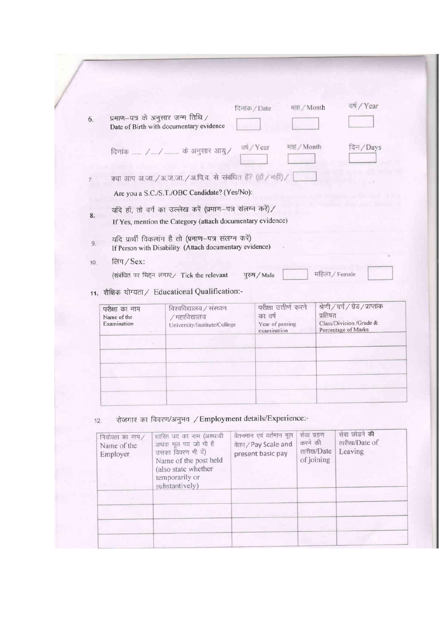|     |                                              |                                                                                                                          | दिनांक / Date                             | माह / Month           |                                                                                                 | वर्ष / Year |
|-----|----------------------------------------------|--------------------------------------------------------------------------------------------------------------------------|-------------------------------------------|-----------------------|-------------------------------------------------------------------------------------------------|-------------|
| 6.  |                                              | प्रमाण–पत्र के अनुसार जन्म तिथि /<br>Date of Birth with documentary evidence                                             |                                           |                       |                                                                                                 |             |
|     |                                              | दिनांक  / /  के अनुसार आयु/                                                                                              | वर्ष / Year                               | माह / Month           |                                                                                                 | दिन/Days    |
| 7.  |                                              | क्या आप अ.जा. / अ.ज.जा. / अ.पि.व. से संबंधित हैं? (हॉ / नहीं) /                                                          |                                           |                       |                                                                                                 |             |
|     |                                              | Are you a S.C./S.T./OBC Candidate? (Yes/No):                                                                             |                                           |                       |                                                                                                 |             |
| 8.  |                                              | यदि हाँ, तो वर्ग का उल्लेख करें (प्रमाण-पत्र संलग्न करें)/<br>If Yes, mention the Category (attach documentary evidence) |                                           |                       |                                                                                                 |             |
| 9.  |                                              | यदि प्रार्थी विकलांग है तो (प्रमाण-पत्र संलग्न करें)<br>If Person with Disability (Attach documentary evidence)          |                                           |                       |                                                                                                 |             |
| 10. | लिंग $/Sex$ :                                | (संबंधित पर चिहन लगाएं/ Tick the relevant<br>11. शैक्षिक योग्यता / Educational Qualification:-                           | पुरुष / Male                              |                       | महिला / Female                                                                                  |             |
|     | परीक्षा का नाम<br>Name of the<br>Examination | विश्वविद्यालय / संस्थान<br>/ महाविद्यालय<br>University/Institute/College                                                 | का वर्ष<br>Year of passing<br>examination | परीक्षा उत्तीर्ण करने | श्रेणी / वर्ग / ग्रेड / प्राप्तांक<br>प्रतिषत<br>Class/Division /Grade &<br>Percentage of Marks |             |
|     |                                              |                                                                                                                          |                                           |                       |                                                                                                 |             |

| नियोक्ता का नाम/<br>Name of the<br>Employer | धारित पद का नाम (अस्थायी<br>अथवा मूल पद जो भी है<br>उसका विवरण भी दें)<br>Name of the post held<br>(also state whether<br>temporarily or<br>substantively) | वेतनमान एवं वर्तमान मूल<br>वेतन / Pay Scale and<br>present basic pay | सेवा ग्रहण<br>करने की<br>तारीख/Date<br>of joining | सेवा छोड़ने की<br>तारीख/Date of<br>Leaving |
|---------------------------------------------|------------------------------------------------------------------------------------------------------------------------------------------------------------|----------------------------------------------------------------------|---------------------------------------------------|--------------------------------------------|
|                                             |                                                                                                                                                            |                                                                      |                                                   |                                            |
|                                             |                                                                                                                                                            |                                                                      |                                                   |                                            |